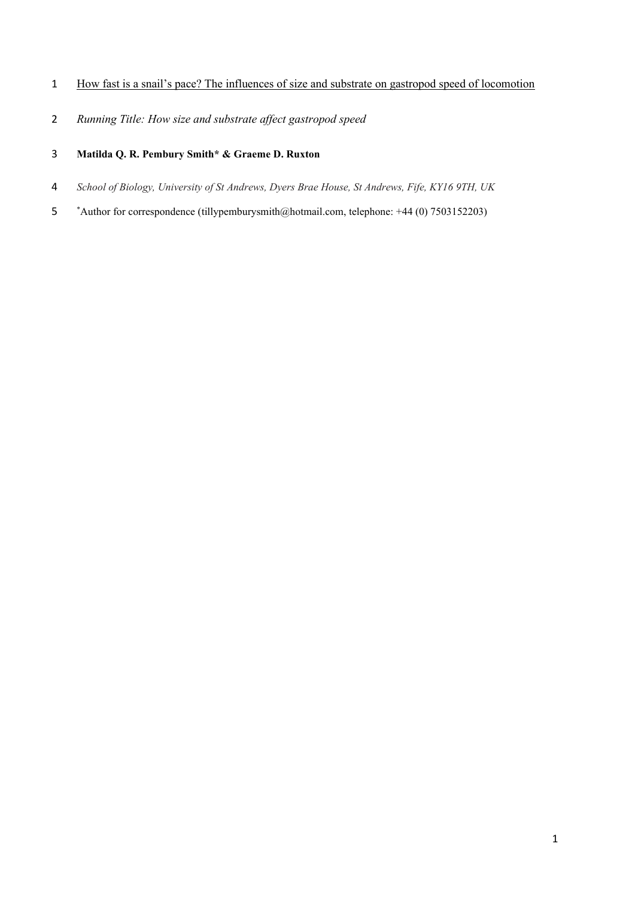- How fast is a snail's pace? The influences of size and substrate on gastropod speed of locomotion
- *Running Title: How size and substrate affect gastropod speed*
- **Matilda Q. R. Pembury Smith\* & Graeme D. Ruxton**
- *School of Biology, University of St Andrews, Dyers Brae House, St Andrews, Fife, KY16 9TH, UK*
- \*Author for correspondence (tillypemburysmith@hotmail.com, telephone: +44 (0) 7503152203)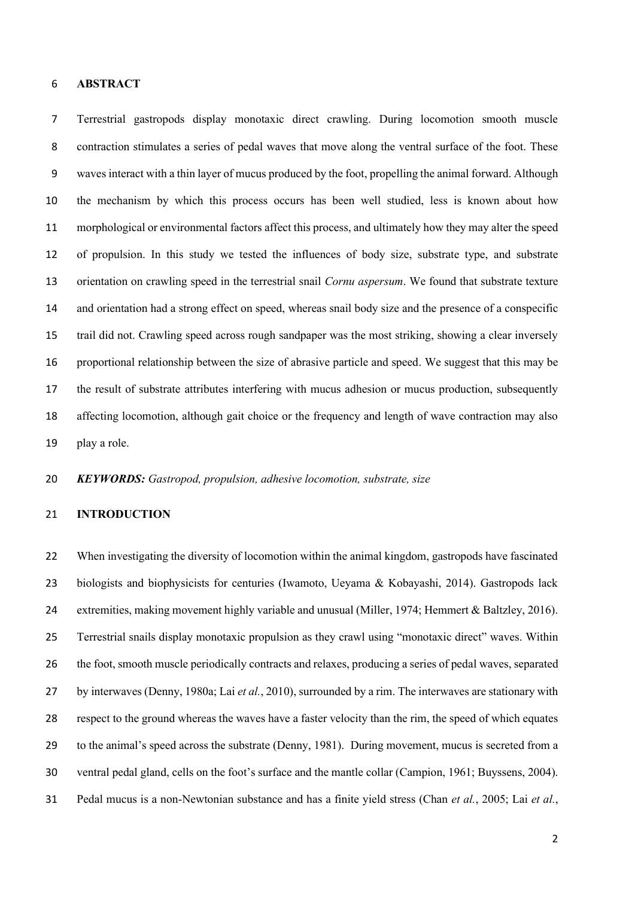### **ABSTRACT**

 Terrestrial gastropods display monotaxic direct crawling. During locomotion smooth muscle contraction stimulates a series of pedal waves that move along the ventral surface of the foot. These waves interact with a thin layer of mucus produced by the foot, propelling the animal forward. Although the mechanism by which this process occurs has been well studied, less is known about how morphological or environmental factors affect this process, and ultimately how they may alter the speed of propulsion. In this study we tested the influences of body size, substrate type, and substrate orientation on crawling speed in the terrestrial snail *Cornu aspersum*. We found that substrate texture and orientation had a strong effect on speed, whereas snail body size and the presence of a conspecific trail did not. Crawling speed across rough sandpaper was the most striking, showing a clear inversely proportional relationship between the size of abrasive particle and speed. We suggest that this may be the result of substrate attributes interfering with mucus adhesion or mucus production, subsequently affecting locomotion, although gait choice or the frequency and length of wave contraction may also play a role.

*KEYWORDS: Gastropod, propulsion, adhesive locomotion, substrate, size*

### **INTRODUCTION**

 When investigating the diversity of locomotion within the animal kingdom, gastropods have fascinated biologists and biophysicists for centuries (Iwamoto, Ueyama & Kobayashi, 2014). Gastropods lack extremities, making movement highly variable and unusual (Miller, 1974; Hemmert & Baltzley, 2016). Terrestrial snails display monotaxic propulsion as they crawl using "monotaxic direct" waves. Within the foot, smooth muscle periodically contracts and relaxes, producing a series of pedal waves, separated by interwaves (Denny, 1980a; Lai *et al.*, 2010), surrounded by a rim. The interwaves are stationary with respect to the ground whereas the waves have a faster velocity than the rim, the speed of which equates to the animal's speed across the substrate (Denny, 1981). During movement, mucus is secreted from a ventral pedal gland, cells on the foot's surface and the mantle collar (Campion, 1961; Buyssens, 2004). Pedal mucus is a non-Newtonian substance and has a finite yield stress (Chan *et al.*, 2005; Lai *et al.*,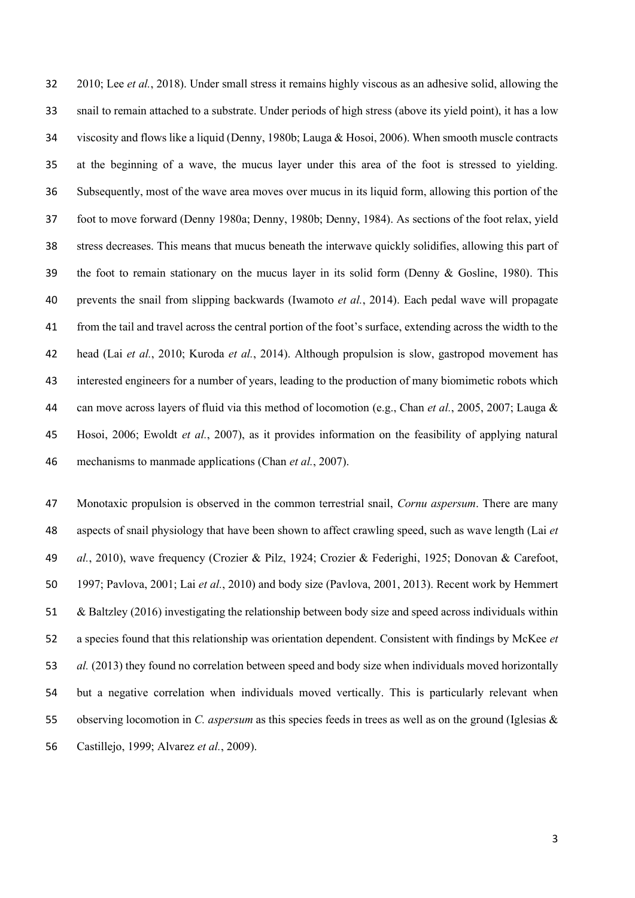2010; Lee *et al.*, 2018). Under small stress it remains highly viscous as an adhesive solid, allowing the snail to remain attached to a substrate. Under periods of high stress (above its yield point), it has a low viscosity and flows like a liquid (Denny, 1980b; Lauga & Hosoi, 2006). When smooth muscle contracts at the beginning of a wave, the mucus layer under this area of the foot is stressed to yielding. Subsequently, most of the wave area moves over mucus in its liquid form, allowing this portion of the foot to move forward (Denny 1980a; Denny, 1980b; Denny, 1984). As sections of the foot relax, yield stress decreases. This means that mucus beneath the interwave quickly solidifies, allowing this part of the foot to remain stationary on the mucus layer in its solid form (Denny & Gosline, 1980). This prevents the snail from slipping backwards (Iwamoto *et al.*, 2014). Each pedal wave will propagate from the tail and travel across the central portion of the foot's surface, extending across the width to the head (Lai *et al.*, 2010; Kuroda *et al.*, 2014). Although propulsion is slow, gastropod movement has interested engineers for a number of years, leading to the production of many biomimetic robots which can move across layers of fluid via this method of locomotion (e.g., Chan *et al.*, 2005, 2007; Lauga & Hosoi, 2006; Ewoldt *et al.*, 2007), as it provides information on the feasibility of applying natural mechanisms to manmade applications (Chan *et al.*, 2007).

 Monotaxic propulsion is observed in the common terrestrial snail, *Cornu aspersum*. There are many aspects of snail physiology that have been shown to affect crawling speed, such as wave length (Lai *et al.*, 2010), wave frequency (Crozier & Pilz, 1924; Crozier & Federighi, 1925; Donovan & Carefoot, 1997; Pavlova, 2001; Lai *et al.*, 2010) and body size (Pavlova, 2001, 2013). Recent work by Hemmert & Baltzley (2016) investigating the relationship between body size and speed across individuals within a species found that this relationship was orientation dependent. Consistent with findings by McKee *et al.* (2013) they found no correlation between speed and body size when individuals moved horizontally but a negative correlation when individuals moved vertically. This is particularly relevant when observing locomotion in *C. aspersum* as this species feeds in trees as well as on the ground (Iglesias & Castillejo, 1999; Alvarez *et al.*, 2009).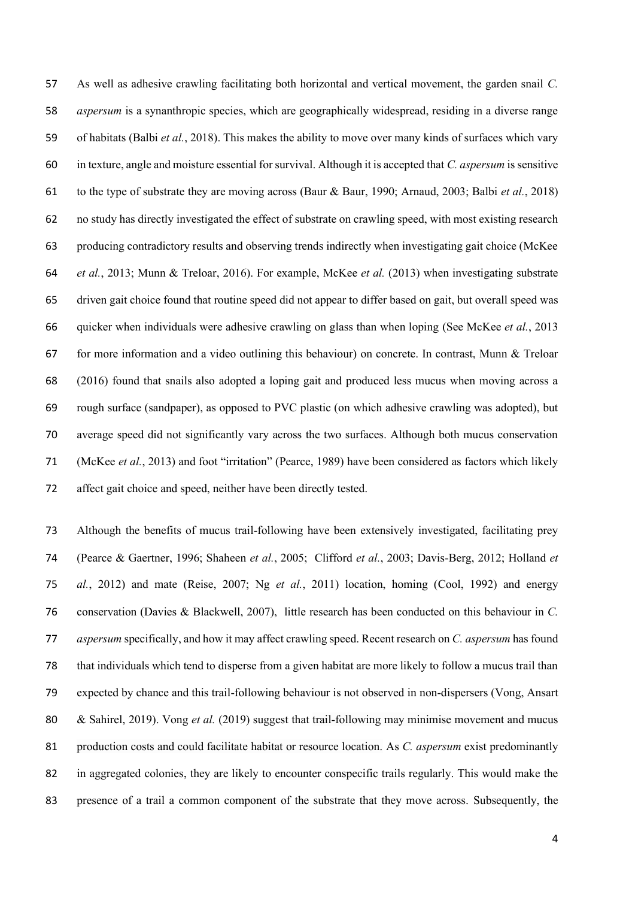As well as adhesive crawling facilitating both horizontal and vertical movement, the garden snail *C. aspersum* is a synanthropic species, which are geographically widespread, residing in a diverse range of habitats (Balbi *et al.*, 2018). This makes the ability to move over many kinds of surfaces which vary in texture, angle and moisture essential for survival. Although it is accepted that *C. aspersum* is sensitive to the type of substrate they are moving across (Baur & Baur, 1990; Arnaud, 2003; Balbi *et al.*, 2018) no study has directly investigated the effect of substrate on crawling speed, with most existing research producing contradictory results and observing trends indirectly when investigating gait choice (McKee *et al.*, 2013; Munn & Treloar, 2016). For example, McKee *et al.* (2013) when investigating substrate driven gait choice found that routine speed did not appear to differ based on gait, but overall speed was quicker when individuals were adhesive crawling on glass than when loping (See McKee *et al.*, 2013 for more information and a video outlining this behaviour) on concrete. In contrast, Munn & Treloar (2016) found that snails also adopted a loping gait and produced less mucus when moving across a rough surface (sandpaper), as opposed to PVC plastic (on which adhesive crawling was adopted), but average speed did not significantly vary across the two surfaces. Although both mucus conservation (McKee *et al.*, 2013) and foot "irritation" (Pearce, 1989) have been considered as factors which likely affect gait choice and speed, neither have been directly tested.

 Although the benefits of mucus trail-following have been extensively investigated, facilitating prey (Pearce & Gaertner, 1996; Shaheen *et al.*, 2005; Clifford *et al.*, 2003; Davis-Berg, 2012; Holland *et al.*, 2012) and mate (Reise, 2007; Ng *et al.*, 2011) location, homing (Cool, 1992) and energy conservation (Davies & Blackwell, 2007), little research has been conducted on this behaviour in *C. aspersum* specifically, and how it may affect crawling speed. Recent research on *C. aspersum* has found that individuals which tend to disperse from a given habitat are more likely to follow a mucus trail than expected by chance and this trail-following behaviour is not observed in non-dispersers (Vong, Ansart & Sahirel, 2019). Vong *et al.* (2019) suggest that trail-following may minimise movement and mucus production costs and could facilitate habitat or resource location. As *C. aspersum* exist predominantly in aggregated colonies, they are likely to encounter conspecific trails regularly. This would make the presence of a trail a common component of the substrate that they move across. Subsequently, the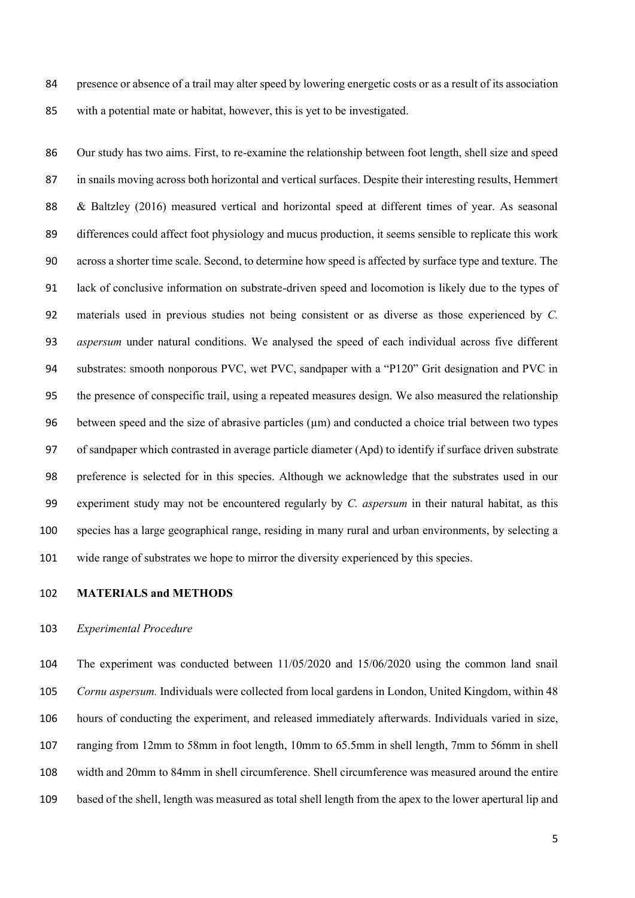presence or absence of a trail may alter speed by lowering energetic costs or as a result of its association with a potential mate or habitat, however, this is yet to be investigated.

 Our study has two aims. First, to re-examine the relationship between foot length, shell size and speed in snails moving across both horizontal and vertical surfaces. Despite their interesting results, Hemmert & Baltzley (2016) measured vertical and horizontal speed at different times of year. As seasonal differences could affect foot physiology and mucus production, it seems sensible to replicate this work across a shorter time scale. Second, to determine how speed is affected by surface type and texture. The lack of conclusive information on substrate-driven speed and locomotion is likely due to the types of materials used in previous studies not being consistent or as diverse as those experienced by *C. aspersum* under natural conditions. We analysed the speed of each individual across five different substrates: smooth nonporous PVC, wet PVC, sandpaper with a "P120" Grit designation and PVC in the presence of conspecific trail, using a repeated measures design. We also measured the relationship 96 between speed and the size of abrasive particles  $(\mu m)$  and conducted a choice trial between two types of sandpaper which contrasted in average particle diameter (Apd) to identify if surface driven substrate preference is selected for in this species. Although we acknowledge that the substrates used in our experiment study may not be encountered regularly by *C. aspersum* in their natural habitat, as this species has a large geographical range, residing in many rural and urban environments, by selecting a wide range of substrates we hope to mirror the diversity experienced by this species.

## **MATERIALS and METHODS**

### *Experimental Procedure*

 The experiment was conducted between 11/05/2020 and 15/06/2020 using the common land snail *Cornu aspersum.* Individuals were collected from local gardens in London, United Kingdom, within 48 hours of conducting the experiment, and released immediately afterwards. Individuals varied in size, ranging from 12mm to 58mm in foot length, 10mm to 65.5mm in shell length, 7mm to 56mm in shell width and 20mm to 84mm in shell circumference. Shell circumference was measured around the entire based of the shell, length was measured as total shell length from the apex to the lower apertural lip and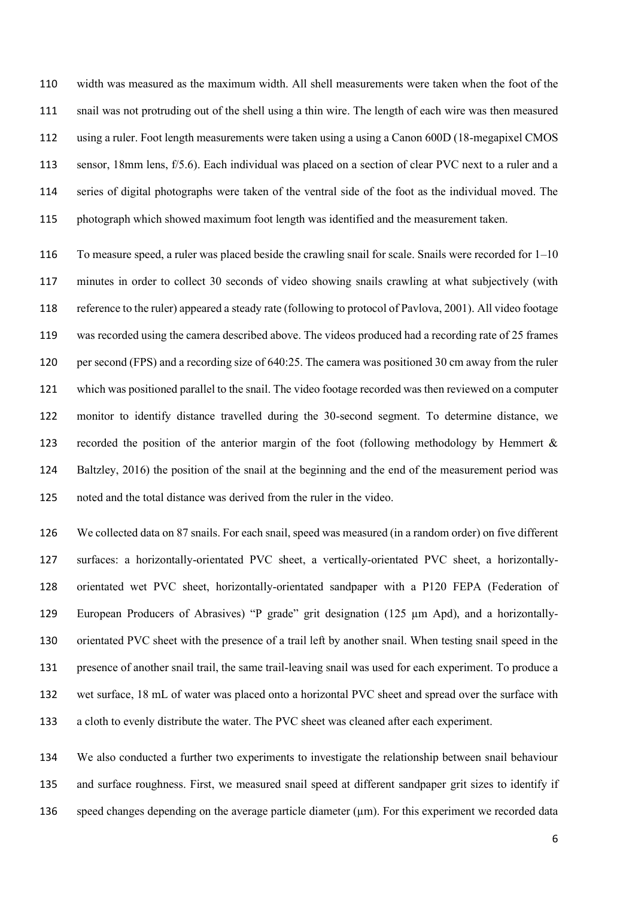width was measured as the maximum width. All shell measurements were taken when the foot of the snail was not protruding out of the shell using a thin wire. The length of each wire was then measured using a ruler. Foot length measurements were taken using a using a Canon 600D (18-megapixel CMOS sensor, 18mm lens, f/5.6). Each individual was placed on a section of clear PVC next to a ruler and a series of digital photographs were taken of the ventral side of the foot as the individual moved. The photograph which showed maximum foot length was identified and the measurement taken.

116 To measure speed, a ruler was placed beside the crawling snail for scale. Snails were recorded for  $1-10$  minutes in order to collect 30 seconds of video showing snails crawling at what subjectively (with reference to the ruler) appeared a steady rate (following to protocol of Pavlova, 2001). All video footage was recorded using the camera described above. The videos produced had a recording rate of 25 frames per second (FPS) and a recording size of 640:25. The camera was positioned 30 cm away from the ruler which was positioned parallel to the snail. The video footage recorded was then reviewed on a computer monitor to identify distance travelled during the 30-second segment. To determine distance, we recorded the position of the anterior margin of the foot (following methodology by Hemmert & Baltzley, 2016) the position of the snail at the beginning and the end of the measurement period was noted and the total distance was derived from the ruler in the video.

 We collected data on 87 snails. For each snail, speed was measured (in a random order) on five different surfaces: a horizontally-orientated PVC sheet, a vertically-orientated PVC sheet, a horizontally- orientated wet PVC sheet, horizontally-orientated sandpaper with a P120 FEPA (Federation of European Producers of Abrasives) "P grade" grit designation (125 µm Apd), and a horizontally- orientated PVC sheet with the presence of a trail left by another snail. When testing snail speed in the presence of another snail trail, the same trail-leaving snail was used for each experiment. To produce a wet surface, 18 mL of water was placed onto a horizontal PVC sheet and spread over the surface with a cloth to evenly distribute the water. The PVC sheet was cleaned after each experiment.

 We also conducted a further two experiments to investigate the relationship between snail behaviour and surface roughness. First, we measured snail speed at different sandpaper grit sizes to identify if speed changes depending on the average particle diameter (µm). For this experiment we recorded data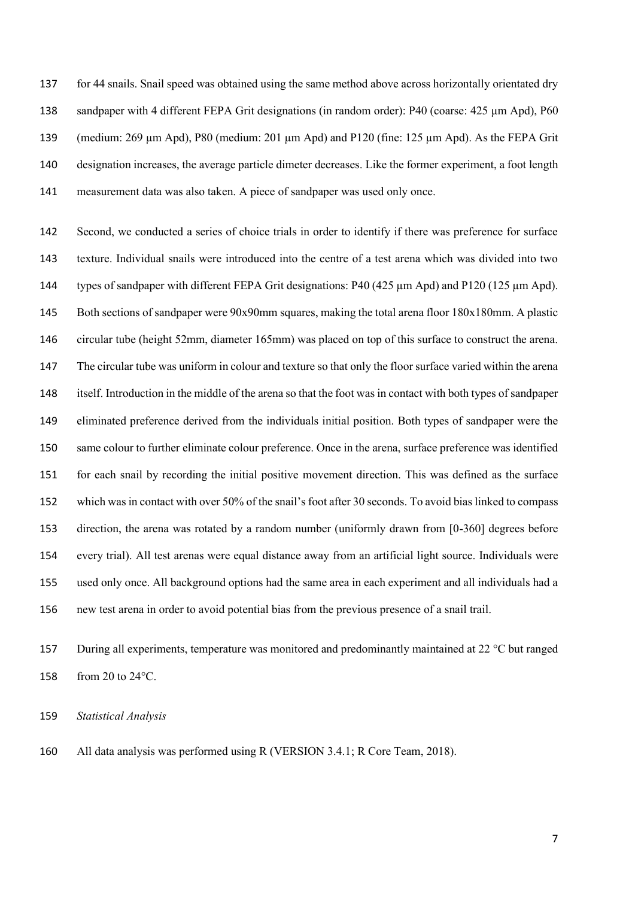for 44 snails. Snail speed was obtained using the same method above across horizontally orientated dry 138 sandpaper with 4 different FEPA Grit designations (in random order): P40 (coarse: 425 µm Apd), P60 (medium: 269 µm Apd), P80 (medium: 201 µm Apd) and P120 (fine: 125 µm Apd). As the FEPA Grit designation increases, the average particle dimeter decreases. Like the former experiment, a foot length measurement data was also taken. A piece of sandpaper was used only once.

 Second, we conducted a series of choice trials in order to identify if there was preference for surface texture. Individual snails were introduced into the centre of a test arena which was divided into two types of sandpaper with different FEPA Grit designations: P40 (425 µm Apd) and P120 (125 µm Apd). Both sections of sandpaper were 90x90mm squares, making the total arena floor 180x180mm. A plastic circular tube (height 52mm, diameter 165mm) was placed on top of this surface to construct the arena. The circular tube was uniform in colour and texture so that only the floor surface varied within the arena itself. Introduction in the middle of the arena so that the foot was in contact with both types of sandpaper eliminated preference derived from the individuals initial position. Both types of sandpaper were the same colour to further eliminate colour preference. Once in the arena, surface preference was identified for each snail by recording the initial positive movement direction. This was defined as the surface which was in contact with over 50% of the snail's foot after 30 seconds. To avoid bias linked to compass direction, the arena was rotated by a random number (uniformly drawn from [0-360] degrees before every trial). All test arenas were equal distance away from an artificial light source. Individuals were used only once. All background options had the same area in each experiment and all individuals had a new test arena in order to avoid potential bias from the previous presence of a snail trail.

 During all experiments, temperature was monitored and predominantly maintained at 22 °C but ranged from 20 to 24°C.

*Statistical Analysis*

All data analysis was performed using R (VERSION 3.4.1; R Core Team, 2018).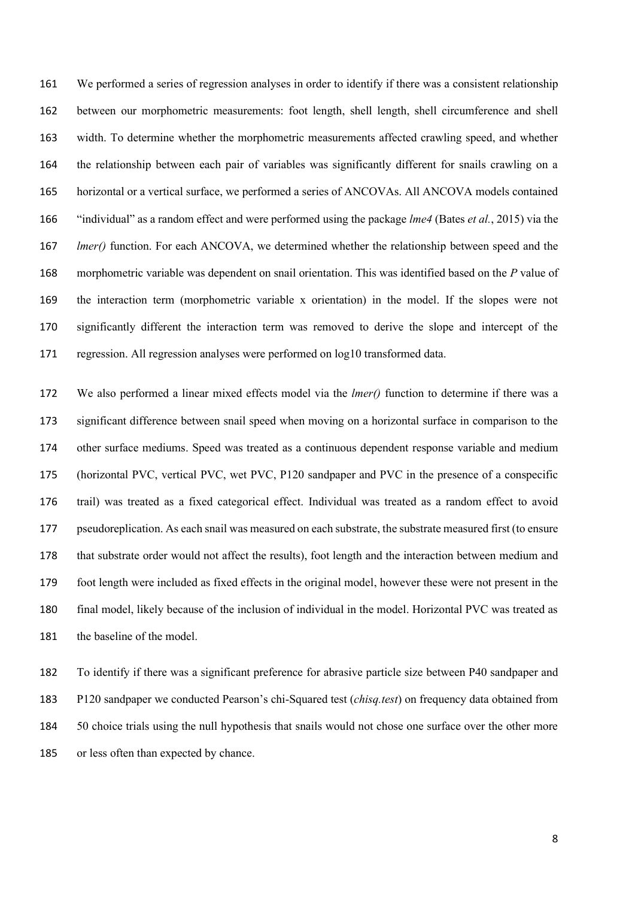We performed a series of regression analyses in order to identify if there was a consistent relationship between our morphometric measurements: foot length, shell length, shell circumference and shell width. To determine whether the morphometric measurements affected crawling speed, and whether the relationship between each pair of variables was significantly different for snails crawling on a horizontal or a vertical surface, we performed a series of ANCOVAs. All ANCOVA models contained "individual" as a random effect and were performed using the package *lme4* (Bates *et al.*, 2015) via the *lmer()* function. For each ANCOVA, we determined whether the relationship between speed and the morphometric variable was dependent on snail orientation. This was identified based on the *P* value of the interaction term (morphometric variable x orientation) in the model. If the slopes were not significantly different the interaction term was removed to derive the slope and intercept of the regression. All regression analyses were performed on log10 transformed data.

 We also performed a linear mixed effects model via the *lmer()* function to determine if there was a significant difference between snail speed when moving on a horizontal surface in comparison to the other surface mediums. Speed was treated as a continuous dependent response variable and medium (horizontal PVC, vertical PVC, wet PVC, P120 sandpaper and PVC in the presence of a conspecific trail) was treated as a fixed categorical effect. Individual was treated as a random effect to avoid pseudoreplication. As each snail was measured on each substrate, the substrate measured first (to ensure that substrate order would not affect the results), foot length and the interaction between medium and foot length were included as fixed effects in the original model, however these were not present in the final model, likely because of the inclusion of individual in the model. Horizontal PVC was treated as 181 the baseline of the model.

 To identify if there was a significant preference for abrasive particle size between P40 sandpaper and P120 sandpaper we conducted Pearson's chi-Squared test (*chisq.test*) on frequency data obtained from 50 choice trials using the null hypothesis that snails would not chose one surface over the other more or less often than expected by chance.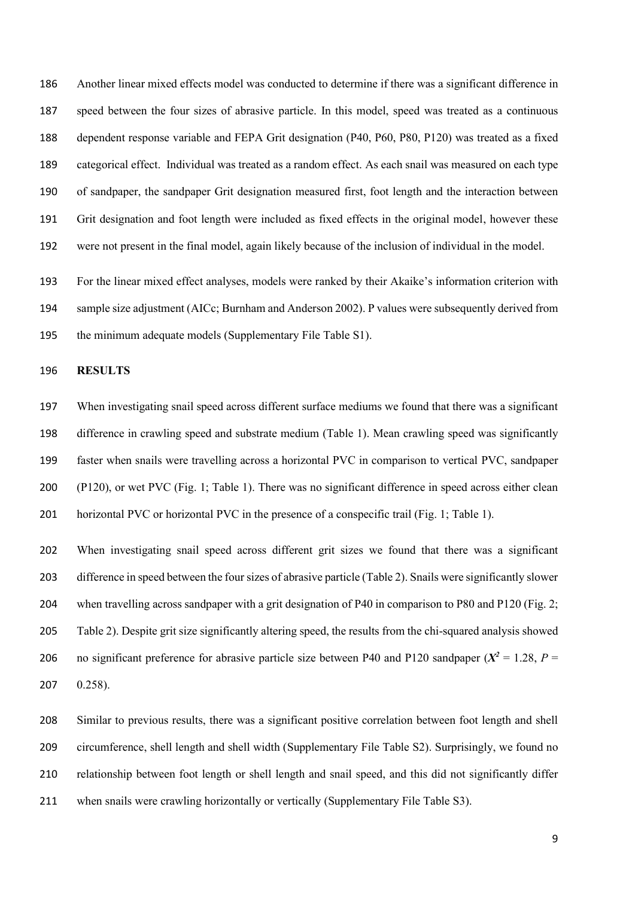Another linear mixed effects model was conducted to determine if there was a significant difference in speed between the four sizes of abrasive particle. In this model, speed was treated as a continuous dependent response variable and FEPA Grit designation (P40, P60, P80, P120) was treated as a fixed categorical effect. Individual was treated as a random effect. As each snail was measured on each type of sandpaper, the sandpaper Grit designation measured first, foot length and the interaction between Grit designation and foot length were included as fixed effects in the original model, however these were not present in the final model, again likely because of the inclusion of individual in the model.

 For the linear mixed effect analyses, models were ranked by their Akaike's information criterion with sample size adjustment (AICc; Burnham and Anderson 2002). P values were subsequently derived from the minimum adequate models (Supplementary File Table S1).

### **RESULTS**

 When investigating snail speed across different surface mediums we found that there was a significant difference in crawling speed and substrate medium (Table 1). Mean crawling speed was significantly faster when snails were travelling across a horizontal PVC in comparison to vertical PVC, sandpaper (P120), or wet PVC (Fig. 1; Table 1). There was no significant difference in speed across either clean 201 horizontal PVC or horizontal PVC in the presence of a conspecific trail (Fig. 1; Table 1).

 When investigating snail speed across different grit sizes we found that there was a significant difference in speed between the foursizes of abrasive particle (Table 2). Snails were significantly slower 204 when travelling across sandpaper with a grit designation of P40 in comparison to P80 and P120 (Fig. 2; Table 2). Despite grit size significantly altering speed, the results from the chi-squared analysis showed 206 no significant preference for abrasive particle size between P40 and P120 sandpaper  $(X^2 = 1.28, P =$ 0.258).

 Similar to previous results, there was a significant positive correlation between foot length and shell circumference, shell length and shell width (Supplementary File Table S2). Surprisingly, we found no relationship between foot length or shell length and snail speed, and this did not significantly differ when snails were crawling horizontally or vertically (Supplementary File Table S3).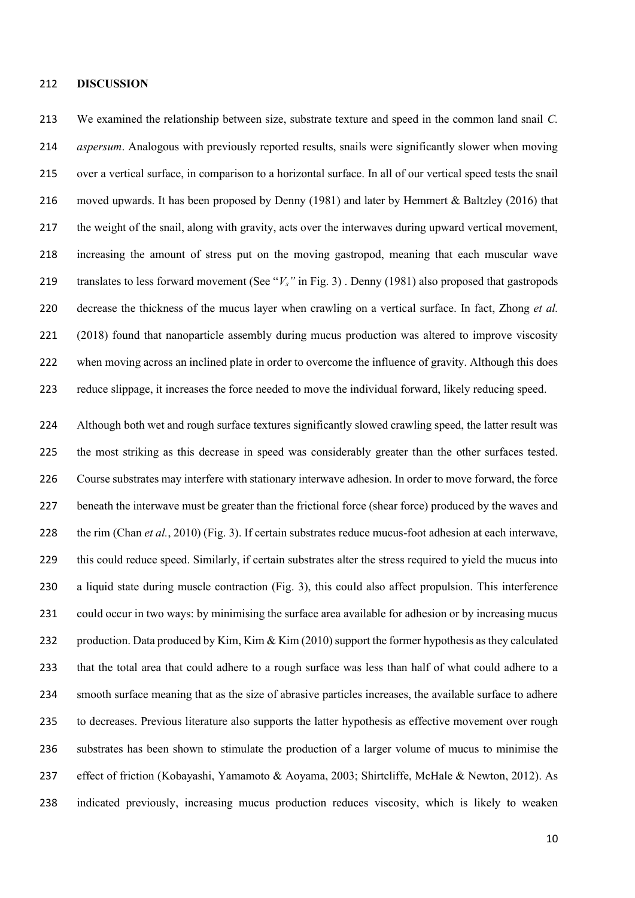### **DISCUSSION**

 We examined the relationship between size, substrate texture and speed in the common land snail *C. aspersum*. Analogous with previously reported results, snails were significantly slower when moving over a vertical surface, in comparison to a horizontal surface. In all of our vertical speed tests the snail moved upwards. It has been proposed by Denny (1981) and later by Hemmert & Baltzley (2016) that the weight of the snail, along with gravity, acts over the interwaves during upward vertical movement, increasing the amount of stress put on the moving gastropod, meaning that each muscular wave translates to less forward movement (See "*Vs"* in Fig. 3) . Denny (1981) also proposed that gastropods decrease the thickness of the mucus layer when crawling on a vertical surface. In fact, Zhong *et al.* (2018) found that nanoparticle assembly during mucus production was altered to improve viscosity when moving across an inclined plate in order to overcome the influence of gravity. Although this does reduce slippage, it increases the force needed to move the individual forward, likely reducing speed.

 Although both wet and rough surface textures significantly slowed crawling speed, the latter result was the most striking as this decrease in speed was considerably greater than the other surfaces tested. Course substrates may interfere with stationary interwave adhesion. In order to move forward, the force beneath the interwave must be greater than the frictional force (shear force) produced by the waves and the rim (Chan *et al.*, 2010) (Fig. 3). If certain substrates reduce mucus-foot adhesion at each interwave, this could reduce speed. Similarly, if certain substrates alter the stress required to yield the mucus into a liquid state during muscle contraction (Fig. 3), this could also affect propulsion. This interference could occur in two ways: by minimising the surface area available for adhesion or by increasing mucus 232 production. Data produced by Kim, Kim & Kim (2010) support the former hypothesis as they calculated that the total area that could adhere to a rough surface was less than half of what could adhere to a smooth surface meaning that as the size of abrasive particles increases, the available surface to adhere to decreases. Previous literature also supports the latter hypothesis as effective movement over rough substrates has been shown to stimulate the production of a larger volume of mucus to minimise the 237 effect of friction (Kobayashi, Yamamoto & Aoyama, 2003; Shirtcliffe, McHale & Newton, 2012). As indicated previously, increasing mucus production reduces viscosity, which is likely to weaken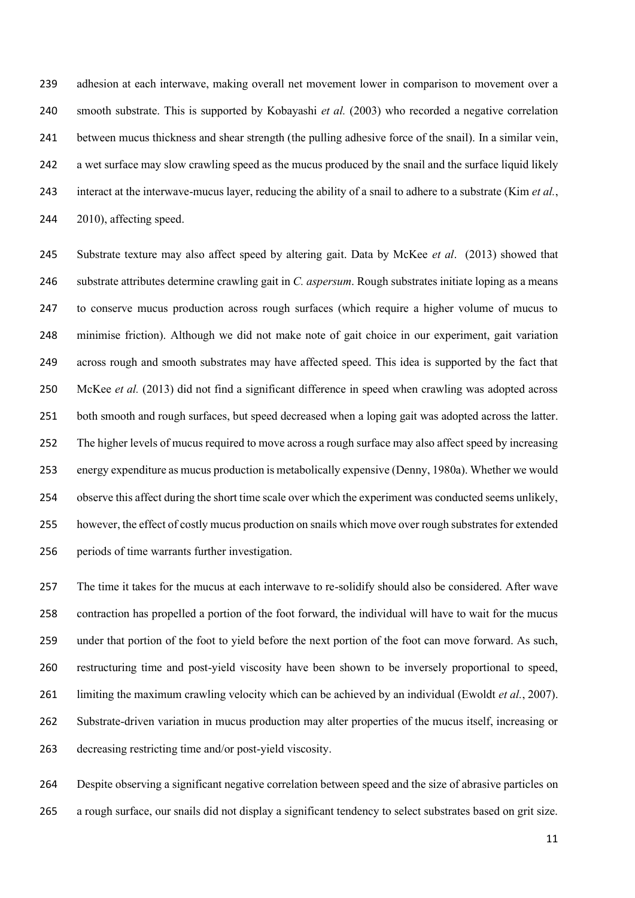adhesion at each interwave, making overall net movement lower in comparison to movement over a smooth substrate. This is supported by Kobayashi *et al.* (2003) who recorded a negative correlation between mucus thickness and shear strength (the pulling adhesive force of the snail). In a similar vein, a wet surface may slow crawling speed as the mucus produced by the snail and the surface liquid likely interact at the interwave-mucus layer, reducing the ability of a snail to adhere to a substrate (Kim *et al.*, 2010), affecting speed.

 Substrate texture may also affect speed by altering gait. Data by McKee *et al*. (2013) showed that substrate attributes determine crawling gait in *C. aspersum*. Rough substrates initiate loping as a means to conserve mucus production across rough surfaces (which require a higher volume of mucus to minimise friction). Although we did not make note of gait choice in our experiment, gait variation across rough and smooth substrates may have affected speed. This idea is supported by the fact that McKee *et al.* (2013) did not find a significant difference in speed when crawling was adopted across 251 both smooth and rough surfaces, but speed decreased when a loping gait was adopted across the latter. The higher levels of mucus required to move across a rough surface may also affect speed by increasing energy expenditure as mucus production is metabolically expensive (Denny, 1980a). Whether we would observe this affect during the short time scale over which the experiment was conducted seems unlikely, however, the effect of costly mucus production on snails which move over rough substrates for extended periods of time warrants further investigation.

 The time it takes for the mucus at each interwave to re-solidify should also be considered. After wave contraction has propelled a portion of the foot forward, the individual will have to wait for the mucus under that portion of the foot to yield before the next portion of the foot can move forward. As such, restructuring time and post-yield viscosity have been shown to be inversely proportional to speed, limiting the maximum crawling velocity which can be achieved by an individual (Ewoldt *et al.*, 2007). Substrate-driven variation in mucus production may alter properties of the mucus itself, increasing or decreasing restricting time and/or post-yield viscosity.

 Despite observing a significant negative correlation between speed and the size of abrasive particles on a rough surface, our snails did not display a significant tendency to select substrates based on grit size.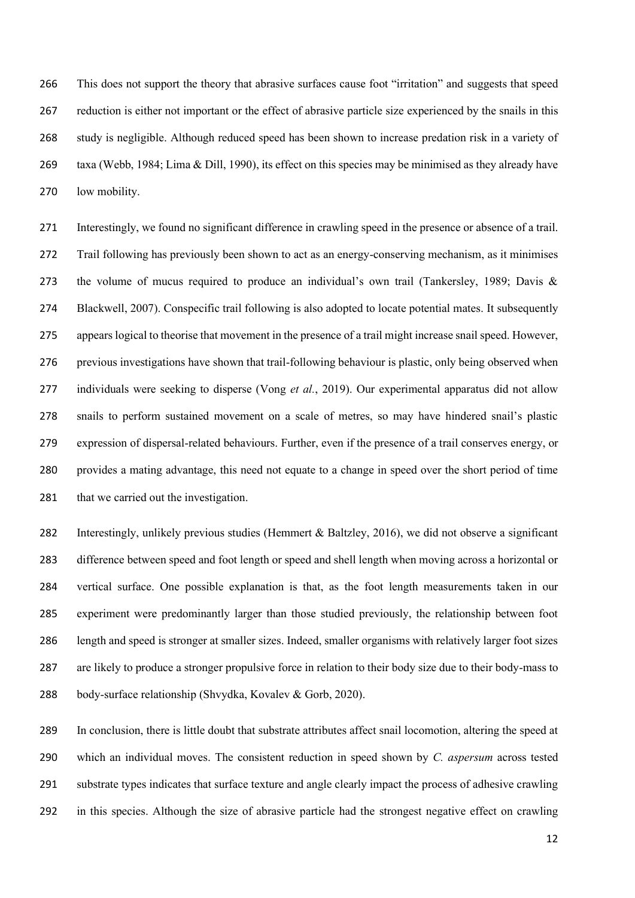This does not support the theory that abrasive surfaces cause foot "irritation" and suggests that speed reduction is either not important or the effect of abrasive particle size experienced by the snails in this study is negligible. Although reduced speed has been shown to increase predation risk in a variety of taxa (Webb, 1984; Lima & Dill, 1990), its effect on this species may be minimised as they already have low mobility.

 Interestingly, we found no significant difference in crawling speed in the presence or absence of a trail. Trail following has previously been shown to act as an energy-conserving mechanism, as it minimises the volume of mucus required to produce an individual's own trail (Tankersley, 1989; Davis & Blackwell, 2007). Conspecific trail following is also adopted to locate potential mates. It subsequently appears logical to theorise that movement in the presence of a trail might increase snail speed. However, 276 previous investigations have shown that trail-following behaviour is plastic, only being observed when individuals were seeking to disperse (Vong *et al.*, 2019). Our experimental apparatus did not allow snails to perform sustained movement on a scale of metres, so may have hindered snail's plastic expression of dispersal-related behaviours. Further, even if the presence of a trail conserves energy, or provides a mating advantage, this need not equate to a change in speed over the short period of time 281 that we carried out the investigation.

 Interestingly, unlikely previous studies (Hemmert & Baltzley, 2016), we did not observe a significant difference between speed and foot length or speed and shell length when moving across a horizontal or vertical surface. One possible explanation is that, as the foot length measurements taken in our experiment were predominantly larger than those studied previously, the relationship between foot length and speed is stronger at smaller sizes. Indeed, smaller organisms with relatively larger foot sizes are likely to produce a stronger propulsive force in relation to their body size due to their body-mass to body-surface relationship (Shvydka, Kovalev & Gorb, 2020).

 In conclusion, there is little doubt that substrate attributes affect snail locomotion, altering the speed at which an individual moves. The consistent reduction in speed shown by *C. aspersum* across tested substrate types indicates that surface texture and angle clearly impact the process of adhesive crawling in this species. Although the size of abrasive particle had the strongest negative effect on crawling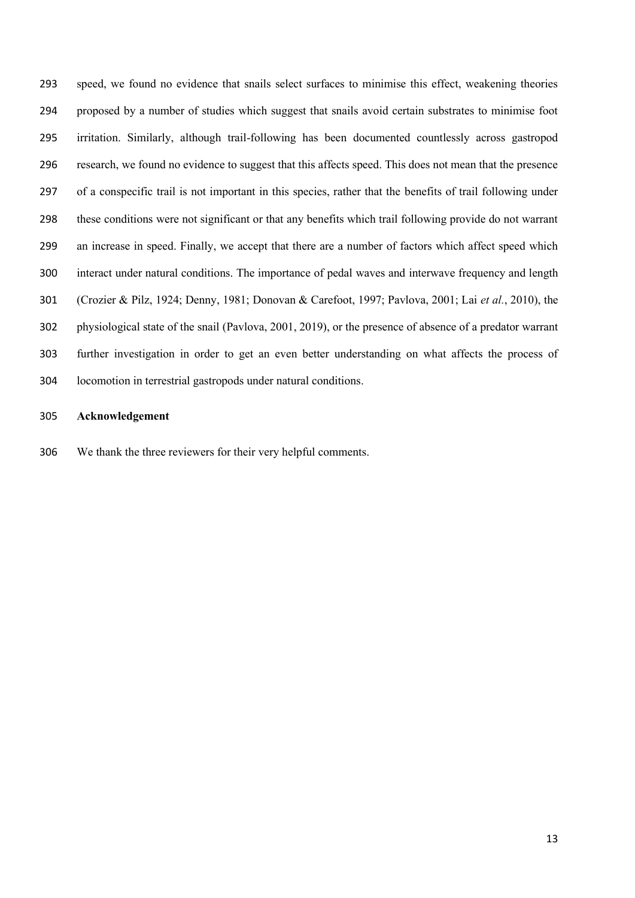speed, we found no evidence that snails select surfaces to minimise this effect, weakening theories proposed by a number of studies which suggest that snails avoid certain substrates to minimise foot irritation. Similarly, although trail-following has been documented countlessly across gastropod research, we found no evidence to suggest that this affects speed. This does not mean that the presence of a conspecific trail is not important in this species, rather that the benefits of trail following under these conditions were not significant or that any benefits which trail following provide do not warrant an increase in speed. Finally, we accept that there are a number of factors which affect speed which interact under natural conditions. The importance of pedal waves and interwave frequency and length (Crozier & Pilz, 1924; Denny, 1981; Donovan & Carefoot, 1997; Pavlova, 2001; Lai *et al.*, 2010), the physiological state of the snail (Pavlova, 2001, 2019), or the presence of absence of a predator warrant further investigation in order to get an even better understanding on what affects the process of locomotion in terrestrial gastropods under natural conditions.

## **Acknowledgement**

We thank the three reviewers for their very helpful comments.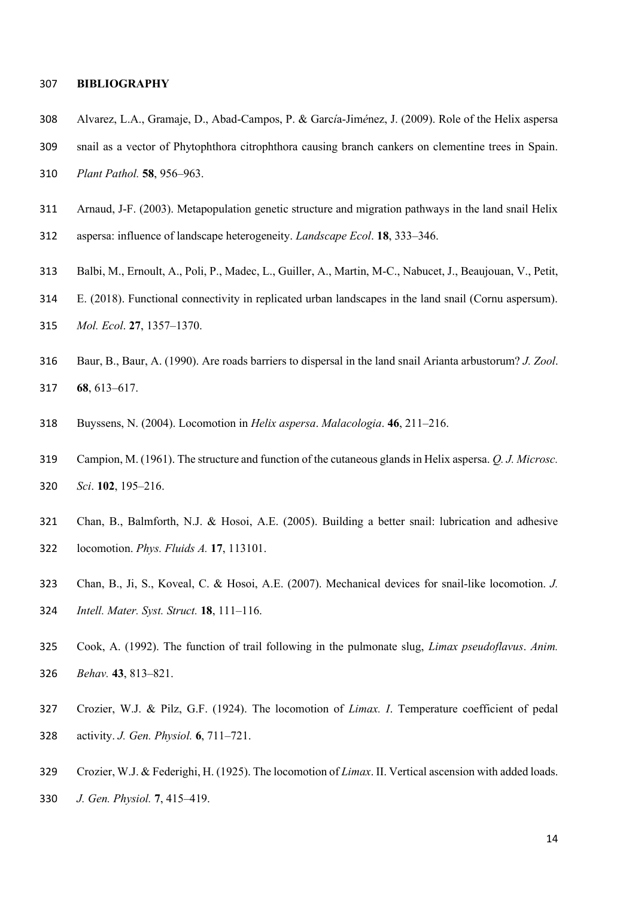### **BIBLIOGRAPHY**

- Alvarez, L.A., Gramaje, D., Abad-Campos, P. & Garc*í*a-Jim*é*nez, J. (2009). Role of the Helix aspersa
- snail as a vector of Phytophthora citrophthora causing branch cankers on clementine trees in Spain.
- *Plant Pathol.* **58**, 956–963.
- Arnaud, J-F. (2003). Metapopulation genetic structure and migration pathways in the land snail Helix
- aspersa: influence of landscape heterogeneity. *Landscape Ecol*. **18**, 333–346.
- Balbi, M., Ernoult, A., Poli, P., Madec, L., Guiller, A., Martin, M-C., Nabucet, J., Beaujouan, V., Petit,
- E. (2018). Functional connectivity in replicated urban landscapes in the land snail (Cornu aspersum).
- *Mol. Ecol*. **27**, 1357–1370.
- Baur, B., Baur, A. (1990). Are roads barriers to dispersal in the land snail Arianta arbustorum? *J. Zool*. **68**, 613–617.
- Buyssens, N. (2004). Locomotion in *Helix aspersa*. *Malacologia*. **46**, 211–216.
- Campion, M. (1961). The structure and function of the cutaneous glands in Helix aspersa. *Q. J. Microsc. Sci*. **102**, 195–216.
- Chan, B., Balmforth, N.J. & Hosoi, A.E. (2005). Building a better snail: lubrication and adhesive locomotion. *Phys. Fluids A.* **17**, 113101.
- Chan, B., Ji, S., Koveal, C. & Hosoi, A.E. (2007). Mechanical devices for snail-like locomotion. *J. Intell. Mater. Syst. Struct.* **18**, 111–116.
- Cook, A. (1992). The function of trail following in the pulmonate slug, *Limax pseudoflavus*. *Anim. Behav.* **43**, 813–821.
- Crozier, W.J. & Pilz, G.F. (1924). The locomotion of *Limax. I*. Temperature coefficient of pedal activity. *J. Gen. Physiol.* **6**, 711–721.
- Crozier, W.J. & Federighi, H. (1925). The locomotion of *Limax*. II. Vertical ascension with added loads. *J. Gen. Physiol.* **7**, 415–419.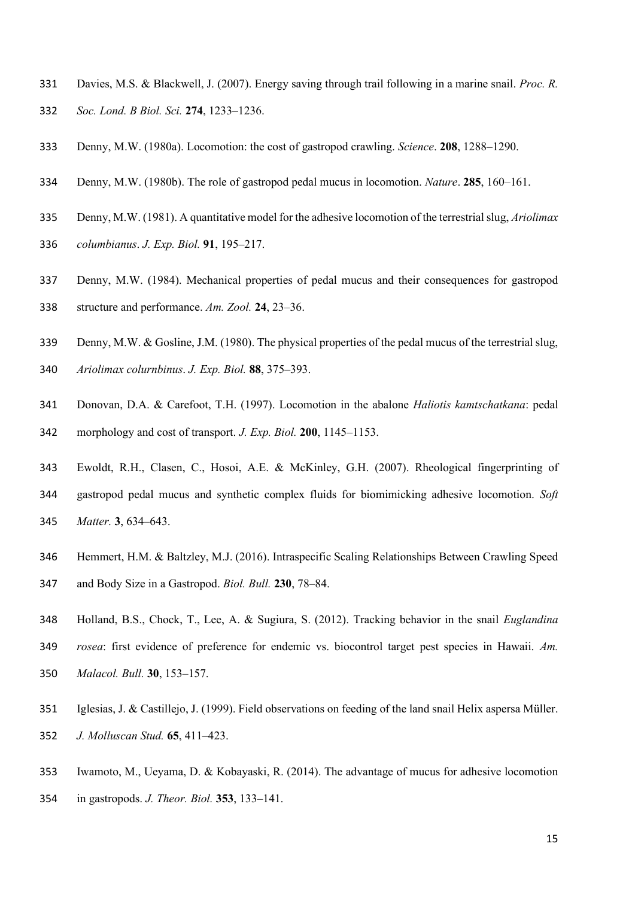- Davies, M.S. & Blackwell, J. (2007). Energy saving through trail following in a marine snail. *Proc. R. Soc. Lond. B Biol. Sci.* **274**, 1233–1236.
- Denny, M.W. (1980a). Locomotion: the cost of gastropod crawling. *Science*. **208**, 1288–1290.
- Denny, M.W. (1980b). The role of gastropod pedal mucus in locomotion. *Nature*. **285**, 160–161.
- Denny, M.W. (1981). A quantitative model for the adhesive locomotion of the terrestrial slug, *Ariolimax*
- *columbianus*. *J. Exp. Biol.* **91**, 195–217.
- Denny, M.W. (1984). Mechanical properties of pedal mucus and their consequences for gastropod structure and performance. *Am. Zool.* **24**, 23–36.
- 339 Denny, M.W. & Gosline, J.M. (1980). The physical properties of the pedal mucus of the terrestrial slug, *Ariolimax colurnbinus*. *J. Exp. Biol.* **88**, 375–393.
- Donovan, D.A. & Carefoot, T.H. (1997). Locomotion in the abalone *Haliotis kamtschatkana*: pedal morphology and cost of transport. *J. Exp. Biol.* **200**, 1145–1153.
- Ewoldt, R.H., Clasen, C., Hosoi, A.E. & McKinley, G.H. (2007). Rheological fingerprinting of gastropod pedal mucus and synthetic complex fluids for biomimicking adhesive locomotion. *Soft Matter.* **3**, 634–643.
- Hemmert, H.M. & Baltzley, M.J. (2016). Intraspecific Scaling Relationships Between Crawling Speed and Body Size in a Gastropod. *Biol. Bull.* **230**, 78–84.
- Holland, B.S., Chock, T., Lee, A. & Sugiura, S. (2012). Tracking behavior in the snail *Euglandina rosea*: first evidence of preference for endemic vs. biocontrol target pest species in Hawaii. *Am. Malacol. Bull.* **30**, 153–157.
- Iglesias, J. & Castillejo, J. (1999). Field observations on feeding of the land snail Helix aspersa Müller. *J. Molluscan Stud.* **65**, 411–423.
- Iwamoto, M., Ueyama, D. & Kobayaski, R. (2014). The advantage of mucus for adhesive locomotion in gastropods. *J. Theor. Biol.* **353**, 133–141.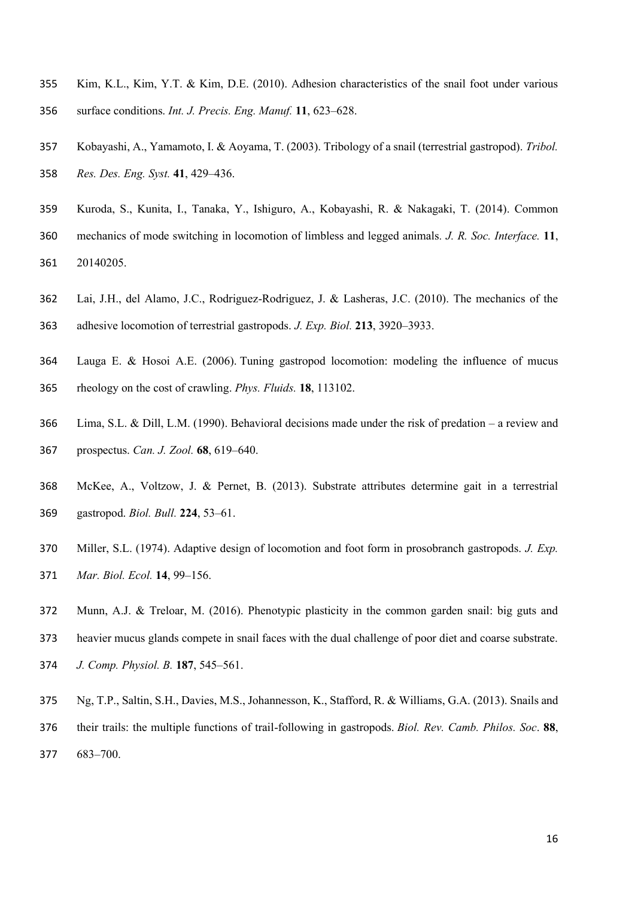- Kim, K.L., Kim, Y.T. & Kim, D.E. (2010). Adhesion characteristics of the snail foot under various surface conditions. *Int. J. Precis. Eng. Manuf.* **11**, 623–628.
- Kobayashi, A., Yamamoto, I. & Aoyama, T. (2003). Tribology of a snail (terrestrial gastropod). *Tribol. Res. Des. Eng. Syst.* **41**, 429–436.
- Kuroda, S., Kunita, I., Tanaka, Y., Ishiguro, A., Kobayashi, R. & Nakagaki, T. (2014). Common mechanics of mode switching in locomotion of limbless and legged animals*. J. R. Soc. Interface.* **11**, 20140205.
- Lai, J.H., del Alamo, J.C., Rodriguez-Rodriguez, J. & Lasheras, J.C. (2010). The mechanics of the

adhesive locomotion of terrestrial gastropods. *J. Exp. Biol.* **213**, 3920–3933.

- Lauga E. & Hosoi A.E. (2006). Tuning gastropod locomotion: modeling the influence of mucus rheology on the cost of crawling. *Phys. Fluids.* **18**, 113102.
- Lima, S.L. & Dill, L.M. (1990). Behavioral decisions made under the risk of predation a review and prospectus. *Can. J. Zool.* **68**, 619–640.
- McKee, A., Voltzow, J. & Pernet, B. (2013). Substrate attributes determine gait in a terrestrial gastropod. *Biol. Bull.* **224**, 53–61.
- Miller, S.L. (1974). Adaptive design of locomotion and foot form in prosobranch gastropods. *J. Exp. Mar. Biol. Ecol.* **14**, 99–156.
- Munn, A.J. & Treloar, M. (2016). Phenotypic plasticity in the common garden snail: big guts and heavier mucus glands compete in snail faces with the dual challenge of poor diet and coarse substrate. *J. Comp. Physiol. B.* **187**, 545–561.
- Ng, T.P., Saltin, S.H., Davies, M.S., Johannesson, K., Stafford, R. & Williams, G.A. (2013). Snails and their trails: the multiple functions of trail-following in gastropods. *Biol. Rev. Camb. Philos. Soc*. **88**, 683–700.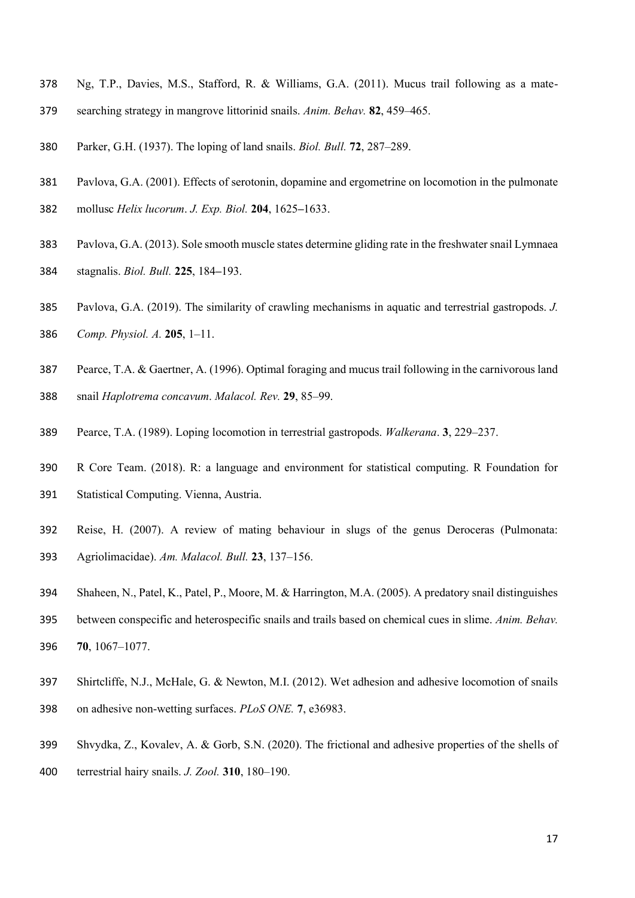- Ng, T.P., Davies, M.S., Stafford, R. & Williams, G.A. (2011). Mucus trail following as a mate-
- searching strategy in mangrove littorinid snails. *Anim. Behav.* **82**, 459–465.
- Parker, G.H. (1937). The loping of land snails. *Biol. Bull.* **72**, 287–289.
- Pavlova, G.A. (2001). Effects of serotonin, dopamine and ergometrine on locomotion in the pulmonate
- mollusc *Helix lucorum*. *J. Exp. Biol.* **204**, 1625**–**1633.
- Pavlova, G.A. (2013). Sole smooth muscle states determine gliding rate in the freshwater snail Lymnaea stagnalis. *Biol. Bull.* **225**, 184**–**193.
- Pavlova, G.A. (2019). The similarity of crawling mechanisms in aquatic and terrestrial gastropods. *J. Comp. Physiol. A.* **205**, 1–11.
- Pearce, T.A. & Gaertner, A. (1996). Optimal foraging and mucus trail following in the carnivorous land
- snail *Haplotrema concavum*. *Malacol. Rev.* **29**, 85–99.
- Pearce, T.A. (1989). Loping locomotion in terrestrial gastropods. *Walkerana*. **3**, 229–237.
- R Core Team. (2018). R: a language and environment for statistical computing. R Foundation for Statistical Computing. Vienna, Austria.
- Reise, H. (2007). A review of mating behaviour in slugs of the genus Deroceras (Pulmonata: Agriolimacidae). *Am. Malacol. Bull.* **23**, 137–156.
- Shaheen, N., Patel, K., Patel, P., Moore, M. & Harrington, M.A. (2005). A predatory snail distinguishes
- between conspecific and heterospecific snails and trails based on chemical cues in slime. *Anim. Behav.*  **70**, 1067–1077.
- Shirtcliffe, N.J., McHale, G. & Newton, M.I. (2012). Wet adhesion and adhesive locomotion of snails on adhesive non-wetting surfaces. *PLoS ONE.* **7**, e36983.
- Shvydka, Z., Kovalev, A. & Gorb, S.N. (2020). The frictional and adhesive properties of the shells of
- terrestrial hairy snails. *J. Zool.* **310**, 180–190.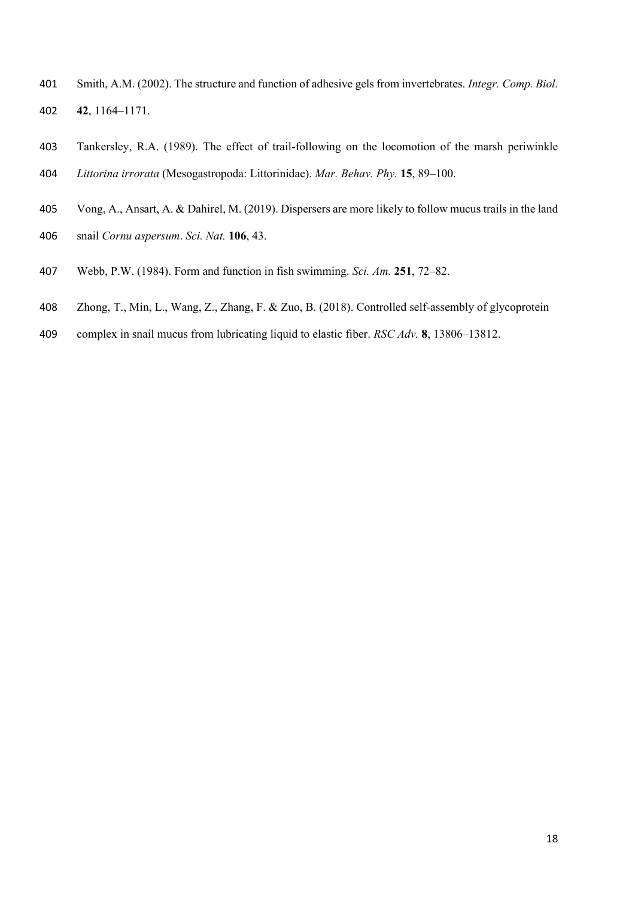- Smith, A.M. (2002). The structure and function of adhesive gels from invertebrates. *Integr. Comp. Biol.* **42**, 1164–1171.
- Tankersley, R.A. (1989). The effect of trail-following on the locomotion of the marsh periwinkle *Littorina irrorata* (Mesogastropoda: Littorinidae). *Mar. Behav. Phy.* **15**, 89–100.
- Vong, A., Ansart, A. & Dahirel, M. (2019). Dispersers are more likely to follow mucus trails in the land snail *Cornu aspersum*. *Sci. Nat.* **106**, 43.
- Webb, P.W. (1984). Form and function in fish swimming. *Sci. Am.* **251**, 72–82.
- Zhong, T., Min, L., Wang, Z., Zhang, F. & Zuo, B. (2018). Controlled self-assembly of glycoprotein
- complex in snail mucus from lubricating liquid to elastic fiber. *RSC Adv.* **8**, 13806–13812.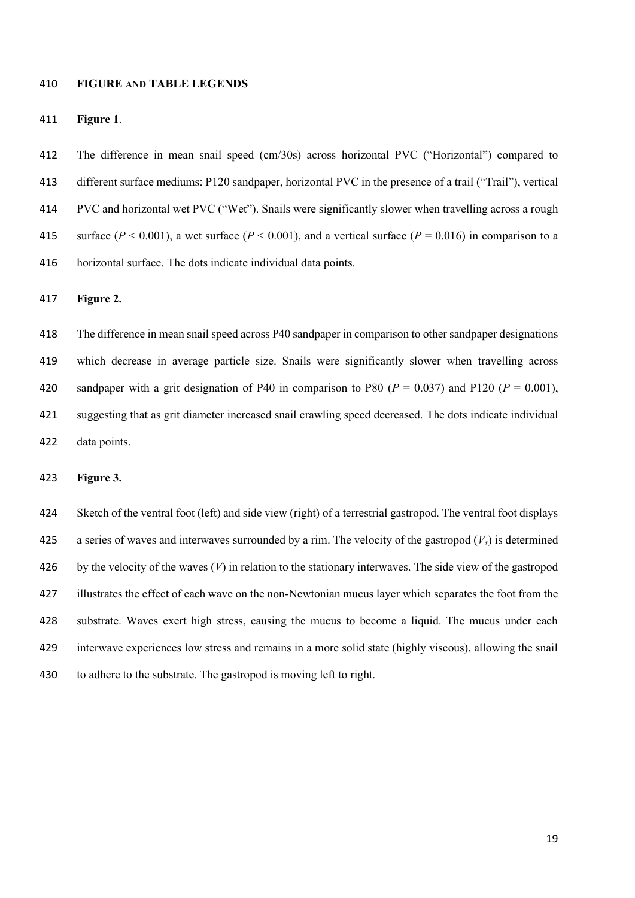### **FIGURE AND TABLE LEGENDS**

#### **Figure 1**.

 The difference in mean snail speed (cm/30s) across horizontal PVC ("Horizontal") compared to different surface mediums: P120 sandpaper, horizontal PVC in the presence of a trail ("Trail"), vertical PVC and horizontal wet PVC ("Wet"). Snails were significantly slower when travelling across a rough 415 surface ( $P < 0.001$ ), a wet surface ( $P < 0.001$ ), and a vertical surface ( $P = 0.016$ ) in comparison to a horizontal surface. The dots indicate individual data points.

**Figure 2.**

 The difference in mean snail speed across P40 sandpaper in comparison to other sandpaper designations which decrease in average particle size. Snails were significantly slower when travelling across 420 sandpaper with a grit designation of P40 in comparison to P80  $(P = 0.037)$  and P120  $(P = 0.001)$ , suggesting that as grit diameter increased snail crawling speed decreased. The dots indicate individual data points.

**Figure 3.** 

 Sketch of the ventral foot (left) and side view (right) of a terrestrial gastropod. The ventral foot displays a series of waves and interwaves surrounded by a rim. The velocity of the gastropod (*Vs*) is determined by the velocity of the waves (*V*) in relation to the stationary interwaves. The side view of the gastropod illustrates the effect of each wave on the non-Newtonian mucus layer which separates the foot from the substrate. Waves exert high stress, causing the mucus to become a liquid. The mucus under each interwave experiences low stress and remains in a more solid state (highly viscous), allowing the snail to adhere to the substrate. The gastropod is moving left to right.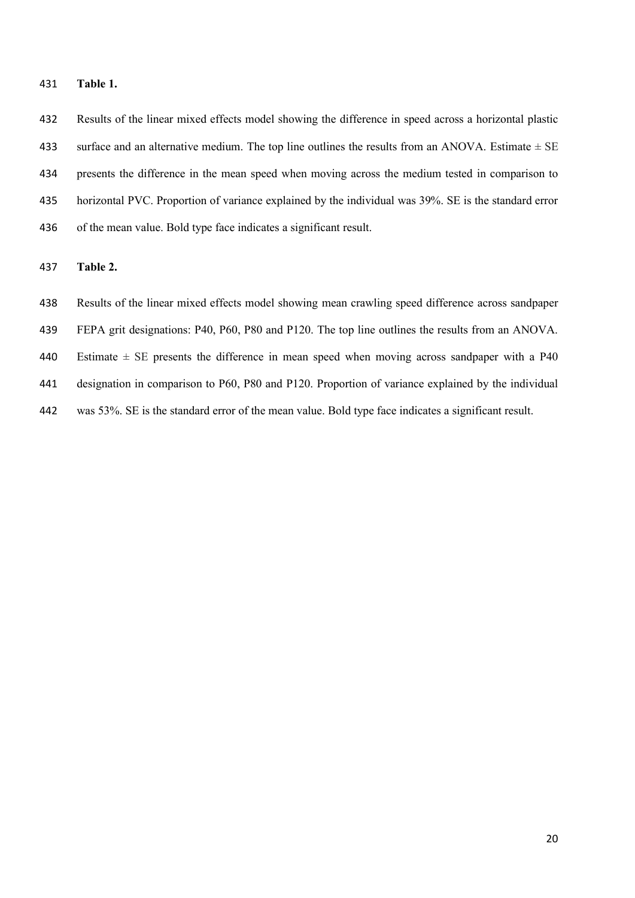**Table 1.**

 Results of the linear mixed effects model showing the difference in speed across a horizontal plastic surface and an alternative medium. The top line outlines the results from an ANOVA. Estimate *±* SE presents the difference in the mean speed when moving across the medium tested in comparison to horizontal PVC. Proportion of variance explained by the individual was 39%. SE is the standard error of the mean value. Bold type face indicates a significant result.

**Table 2.**

Results of the linear mixed effects model showing mean crawling speed difference across sandpaper

FEPA grit designations: P40, P60, P80 and P120. The top line outlines the results from an ANOVA.

Estimate *±* SE presents the difference in mean speed when moving across sandpaper with a P40

designation in comparison to P60, P80 and P120. Proportion of variance explained by the individual

was 53%. SE is the standard error of the mean value. Bold type face indicates a significant result.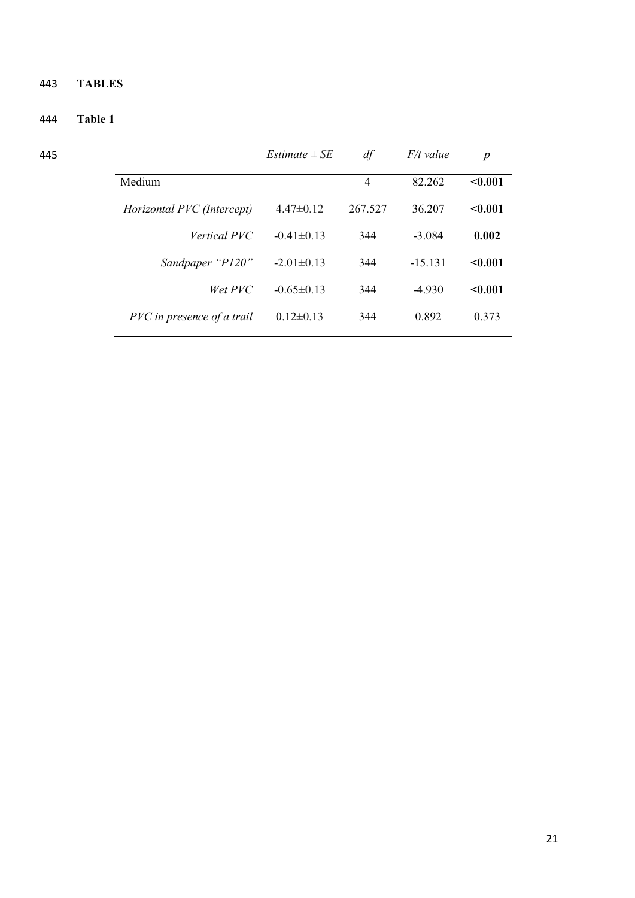# 443 **TABLES**

# 444 **Table 1**

|                            | <i>Estimate</i> $\pm$ <i>SE</i> | df      | $F/t$ value | $\boldsymbol{p}$ |
|----------------------------|---------------------------------|---------|-------------|------------------|
| Medium                     |                                 | 4       | 82.262      | < 0.001          |
| Horizontal PVC (Intercept) | $4.47\pm0.12$                   | 267.527 | 36.207      | $0.001$          |
| <i>Vertical PVC</i>        | $-0.41 \pm 0.13$                | 344     | $-3.084$    | 0.002            |
| Sandpaper "P120"           | $-2.01 \pm 0.13$                | 344     | $-15.131$   | < 0.001          |
| Wet PVC                    | $-0.65 \pm 0.13$                | 344     | $-4.930$    | $0.001$          |
| PVC in presence of a trail | $0.12 \pm 0.13$                 | 344     | 0.892       | 0.373            |
|                            |                                 |         |             |                  |